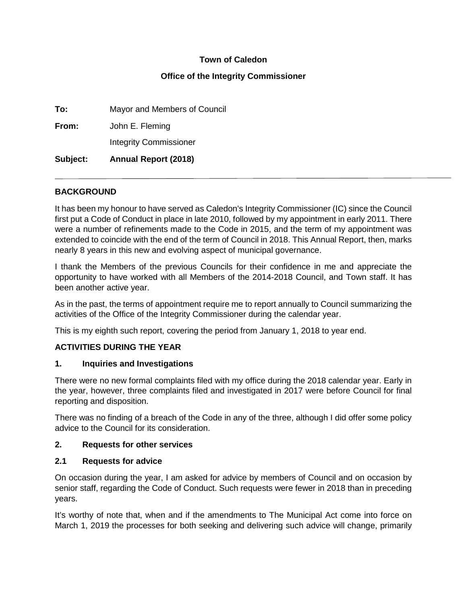### **Town of Caledon**

### **Office of the Integrity Commissioner**

**To:** Mayor and Members of Council **From:** John E. Fleming Integrity Commissioner **Subject: Annual Report (2018)** 

### **BACKGROUND**

It has been my honour to have served as Caledon's Integrity Commissioner (IC) since the Council first put a Code of Conduct in place in late 2010, followed by my appointment in early 2011. There were a number of refinements made to the Code in 2015, and the term of my appointment was extended to coincide with the end of the term of Council in 2018. This Annual Report, then, marks nearly 8 years in this new and evolving aspect of municipal governance.

I thank the Members of the previous Councils for their confidence in me and appreciate the opportunity to have worked with all Members of the 2014-2018 Council, and Town staff. It has been another active year.

As in the past, the terms of appointment require me to report annually to Council summarizing the activities of the Office of the Integrity Commissioner during the calendar year.

This is my eighth such report, covering the period from January 1, 2018 to year end.

### **ACTIVITIES DURING THE YEAR**

#### **1. Inquiries and Investigations**

There were no new formal complaints filed with my office during the 2018 calendar year. Early in the year, however, three complaints filed and investigated in 2017 were before Council for final reporting and disposition.

There was no finding of a breach of the Code in any of the three, although I did offer some policy advice to the Council for its consideration.

#### **2. Requests for other services**

#### **2.1 Requests for advice**

On occasion during the year, I am asked for advice by members of Council and on occasion by senior staff, regarding the Code of Conduct. Such requests were fewer in 2018 than in preceding years.

It's worthy of note that, when and if the amendments to The Municipal Act come into force on March 1, 2019 the processes for both seeking and delivering such advice will change, primarily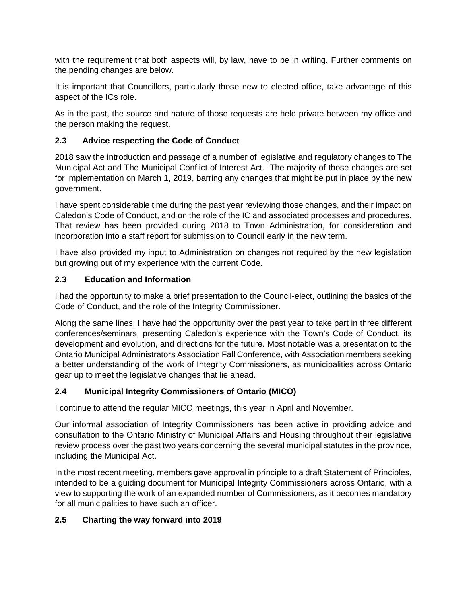with the requirement that both aspects will, by law, have to be in writing. Further comments on the pending changes are below.

It is important that Councillors, particularly those new to elected office, take advantage of this aspect of the ICs role.

As in the past, the source and nature of those requests are held private between my office and the person making the request.

# **2.3 Advice respecting the Code of Conduct**

2018 saw the introduction and passage of a number of legislative and regulatory changes to The Municipal Act and The Municipal Conflict of Interest Act. The majority of those changes are set for implementation on March 1, 2019, barring any changes that might be put in place by the new government.

I have spent considerable time during the past year reviewing those changes, and their impact on Caledon's Code of Conduct, and on the role of the IC and associated processes and procedures. That review has been provided during 2018 to Town Administration, for consideration and incorporation into a staff report for submission to Council early in the new term.

I have also provided my input to Administration on changes not required by the new legislation but growing out of my experience with the current Code.

## **2.3 Education and Information**

I had the opportunity to make a brief presentation to the Council-elect, outlining the basics of the Code of Conduct, and the role of the Integrity Commissioner.

Along the same lines, I have had the opportunity over the past year to take part in three different conferences/seminars, presenting Caledon's experience with the Town's Code of Conduct, its development and evolution, and directions for the future. Most notable was a presentation to the Ontario Municipal Administrators Association Fall Conference, with Association members seeking a better understanding of the work of Integrity Commissioners, as municipalities across Ontario gear up to meet the legislative changes that lie ahead.

## **2.4 Municipal Integrity Commissioners of Ontario (MICO)**

I continue to attend the regular MICO meetings, this year in April and November.

Our informal association of Integrity Commissioners has been active in providing advice and consultation to the Ontario Ministry of Municipal Affairs and Housing throughout their legislative review process over the past two years concerning the several municipal statutes in the province, including the Municipal Act.

In the most recent meeting, members gave approval in principle to a draft Statement of Principles, intended to be a guiding document for Municipal Integrity Commissioners across Ontario, with a view to supporting the work of an expanded number of Commissioners, as it becomes mandatory for all municipalities to have such an officer.

## **2.5 Charting the way forward into 2019**